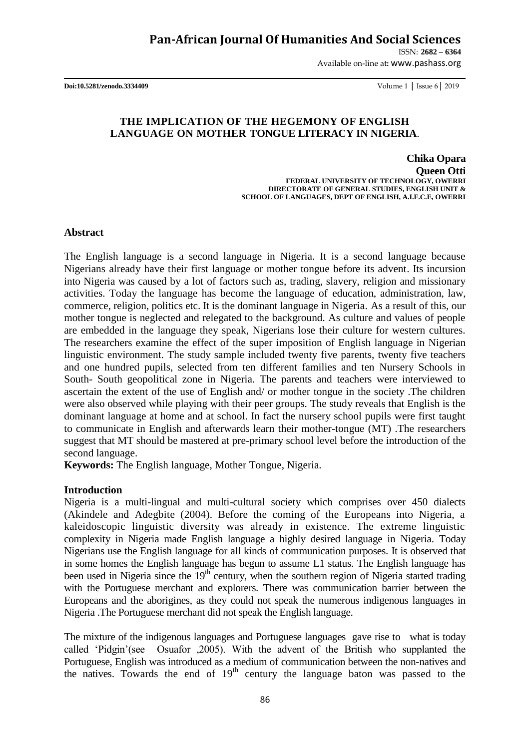ISSN: **2682 – 6364**

Available on-line at**:** www.pashass.org

**Doi:10.5281/zenodo.3334409** Volume 1 │ Issue 6│ 2019

## **THE IMPLICATION OF THE HEGEMONY OF ENGLISH LANGUAGE ON MOTHER TONGUE LITERACY IN NIGERIA**.

**Chika Opara Queen Otti FEDERAL UNIVERSITY OF TECHNOLOGY, OWERRI DIRECTORATE OF GENERAL STUDIES, ENGLISH UNIT & SCHOOL OF LANGUAGES, DEPT OF ENGLISH, A.I.F.C.E, OWERRI** 

**Abstract**

The English language is a second language in Nigeria. It is a second language because Nigerians already have their first language or mother tongue before its advent. Its incursion into Nigeria was caused by a lot of factors such as, trading, slavery, religion and missionary activities. Today the language has become the language of education, administration, law, commerce, religion, politics etc. It is the dominant language in Nigeria. As a result of this, our mother tongue is neglected and relegated to the background. As culture and values of people are embedded in the language they speak, Nigerians lose their culture for western cultures. The researchers examine the effect of the super imposition of English language in Nigerian linguistic environment. The study sample included twenty five parents, twenty five teachers and one hundred pupils, selected from ten different families and ten Nursery Schools in South- South geopolitical zone in Nigeria. The parents and teachers were interviewed to ascertain the extent of the use of English and/ or mother tongue in the society .The children were also observed while playing with their peer groups. The study reveals that English is the dominant language at home and at school. In fact the nursery school pupils were first taught to communicate in English and afterwards learn their mother-tongue (MT) .The researchers suggest that MT should be mastered at pre-primary school level before the introduction of the second language.

**Keywords:** The English language, Mother Tongue, Nigeria.

#### **Introduction**

Nigeria is a multi-lingual and multi-cultural society which comprises over 450 dialects (Akindele and Adegbite (2004). Before the coming of the Europeans into Nigeria, a kaleidoscopic linguistic diversity was already in existence. The extreme linguistic complexity in Nigeria made English language a highly desired language in Nigeria. Today Nigerians use the English language for all kinds of communication purposes. It is observed that in some homes the English language has begun to assume L1 status. The English language has been used in Nigeria since the 19<sup>th</sup> century, when the southern region of Nigeria started trading with the Portuguese merchant and explorers. There was communication barrier between the Europeans and the aborigines, as they could not speak the numerous indigenous languages in Nigeria .The Portuguese merchant did not speak the English language.

The mixture of the indigenous languages and Portuguese languages gave rise to what is today called "Pidgin"(see Osuafor ,2005). With the advent of the British who supplanted the Portuguese, English was introduced as a medium of communication between the non-natives and the natives. Towards the end of  $19<sup>th</sup>$  century the language baton was passed to the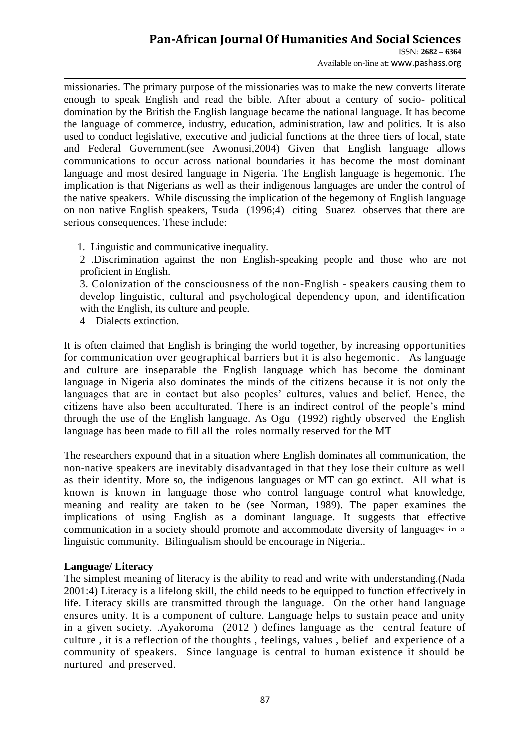ISSN: **2682 – 6364** Available on-line at**:** www.pashass.org

missionaries. The primary purpose of the missionaries was to make the new converts literate enough to speak English and read the bible. After about a century of socio- political domination by the British the English language became the national language. It has become the language of commerce, industry, education, administration, law and politics. It is also used to conduct legislative, executive and judicial functions at the three tiers of local, state and Federal Government.(see Awonusi,2004) Given that English language allows communications to occur across national boundaries it has become the most dominant language and most desired language in Nigeria. The English language is hegemonic. The implication is that Nigerians as well as their indigenous languages are under the control of the native speakers. While discussing the implication of the hegemony of English language on non native English speakers, Tsuda (1996;4) citing Suarez observes that there are serious consequences. These include:

1. Linguistic and communicative inequality.

2 .Discrimination against the non English-speaking people and those who are not proficient in English.

3. Colonization of the consciousness of the non-English - speakers causing them to develop linguistic, cultural and psychological dependency upon, and identification with the English, its culture and people.

4 Dialects extinction.

It is often claimed that English is bringing the world together, by increasing opportunities for communication over geographical barriers but it is also hegemonic. As language and culture are inseparable the English language which has become the dominant language in Nigeria also dominates the minds of the citizens because it is not only the languages that are in contact but also peoples' cultures, values and belief. Hence, the citizens have also been acculturated. There is an indirect control of the people"s mind through the use of the English language. As Ogu (1992) rightly observed the English language has been made to fill all the roles normally reserved for the MT

The researchers expound that in a situation where English dominates all communication, the non-native speakers are inevitably disadvantaged in that they lose their culture as well as their identity. More so, the indigenous languages or MT can go extinct. All what is known is known in language those who control language control what knowledge, meaning and reality are taken to be (see Norman, 1989). The paper examines the implications of using English as a dominant language. It suggests that effective communication in a society should promote and accommodate diversity of languages in a linguistic community. Bilingualism should be encourage in Nigeria..

## **Language/ Literacy**

The simplest meaning of literacy is the ability to read and write with understanding.(Nada 2001:4) Literacy is a lifelong skill, the child needs to be equipped to function effectively in life. Literacy skills are transmitted through the language. On the other hand language ensures unity. It is a component of culture. Language helps to sustain peace and unity in a given society. .Ayakoroma (2012 ) defines language as the central feature of culture , it is a reflection of the thoughts , feelings, values , belief and experience of a community of speakers. Since language is central to human existence it should be nurtured and preserved.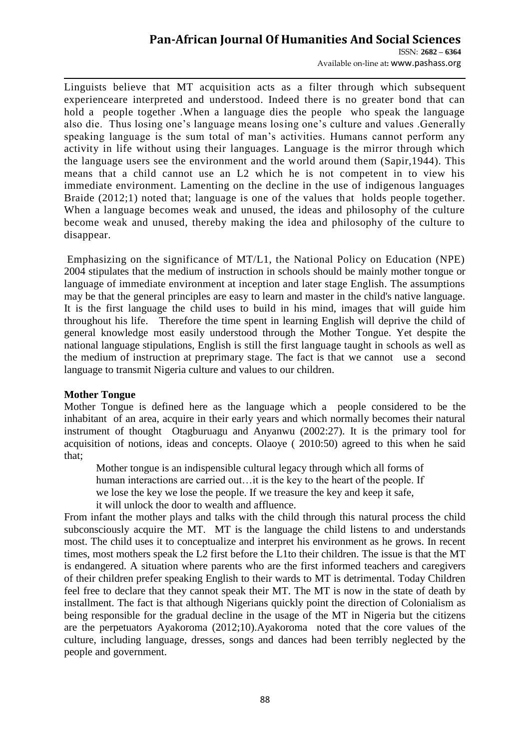ISSN: **2682 – 6364** Available on-line at**:** www.pashass.org

Linguists believe that MT acquisition acts as a filter through which subsequent experienceare interpreted and understood. Indeed there is no greater bond that can hold a people together .When a language dies the people who speak the language also die. Thus losing one"s language means losing one"s culture and values .Generally speaking language is the sum total of man's activities. Humans cannot perform any activity in life without using their languages. Language is the mirror through which the language users see the environment and the world around them (Sapir,1944). This means that a child cannot use an L2 which he is not competent in to view his immediate environment. Lamenting on the decline in the use of indigenous languages Braide (2012;1) noted that; language is one of the values that holds people together. When a language becomes weak and unused, the ideas and philosophy of the culture become weak and unused, thereby making the idea and philosophy of the culture to disappear.

Emphasizing on the significance of MT/L1, the National Policy on Education (NPE) 2004 stipulates that the medium of instruction in schools should be mainly mother tongue or language of immediate environment at inception and later stage English. The assumptions may be that the general principles are easy to learn and master in the child's native language. It is the first language the child uses to build in his mind, images that will guide him throughout his life. Therefore the time spent in learning English will deprive the child of general knowledge most easily understood through the Mother Tongue. Yet despite the national language stipulations, English is still the first language taught in schools as well as the medium of instruction at preprimary stage. The fact is that we cannot use a second language to transmit Nigeria culture and values to our children.

## **Mother Tongue**

Mother Tongue is defined here as the language which a people considered to be the inhabitant of an area, acquire in their early years and which normally becomes their natural instrument of thought Otagburuagu and Anyanwu (2002:27). It is the primary tool for acquisition of notions, ideas and concepts. Olaoye ( 2010:50) agreed to this when he said that;

Mother tongue is an indispensible cultural legacy through which all forms of human interactions are carried out... it is the key to the heart of the people. If we lose the key we lose the people. If we treasure the key and keep it safe, it will unlock the door to wealth and affluence.

From infant the mother plays and talks with the child through this natural process the child subconsciously acquire the MT. MT is the language the child listens to and understands most. The child uses it to conceptualize and interpret his environment as he grows. In recent times, most mothers speak the L2 first before the L1to their children. The issue is that the MT is endangered. A situation where parents who are the first informed teachers and caregivers of their children prefer speaking English to their wards to MT is detrimental. Today Children feel free to declare that they cannot speak their MT. The MT is now in the state of death by installment. The fact is that although Nigerians quickly point the direction of Colonialism as being responsible for the gradual decline in the usage of the MT in Nigeria but the citizens are the perpetuators Ayakoroma (2012;10).Ayakoroma noted that the core values of the culture, including language, dresses, songs and dances had been terribly neglected by the people and government.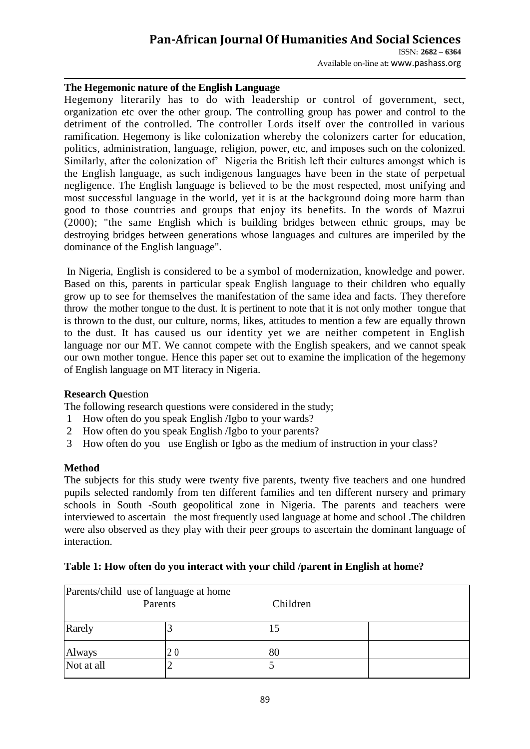ISSN: **2682 – 6364** Available on-line at**:** www.pashass.org

#### **The Hegemonic nature of the English Language**

Hegemony literarily has to do with leadership or control of government, sect, organization etc over the other group. The controlling group has power and control to the detriment of the controlled. The controller Lords itself over the controlled in various ramification. Hegemony is like colonization whereby the colonizers carter for education, politics, administration, language, religion, power, etc, and imposes such on the colonized. Similarly, after the colonization of" Nigeria the British left their cultures amongst which is the English language, as such indigenous languages have been in the state of perpetual negligence. The English language is believed to be the most respected, most unifying and most successful language in the world, yet it is at the background doing more harm than good to those countries and groups that enjoy its benefits. In the words of Mazrui (2000); "the same English which is building bridges between ethnic groups, may be destroying bridges between generations whose languages and cultures are imperiled by the dominance of the English language".

In Nigeria, English is considered to be a symbol of modernization, knowledge and power. Based on this, parents in particular speak English language to their children who equally grow up to see for themselves the manifestation of the same idea and facts. They therefore throw the mother tongue to the dust. It is pertinent to note that it is not only mother tongue that is thrown to the dust, our culture, norms, likes, attitudes to mention a few are equally thrown to the dust. It has caused us our identity yet we are neither competent in English language nor our MT. We cannot compete with the English speakers, and we cannot speak our own mother tongue. Hence this paper set out to examine the implication of the hegemony of English language on MT literacy in Nigeria.

#### **Research Qu**estion

The following research questions were considered in the study;

- 1 How often do you speak English /Igbo to your wards?
- 2 How often do you speak English /Igbo to your parents?
- 3 How often do you use English or Igbo as the medium of instruction in your class?

## **Method**

The subjects for this study were twenty five parents, twenty five teachers and one hundred pupils selected randomly from ten different families and ten different nursery and primary schools in South -South geopolitical zone in Nigeria. The parents and teachers were interviewed to ascertain the most frequently used language at home and school .The children were also observed as they play with their peer groups to ascertain the dominant language of interaction.

#### **Table 1: How often do you interact with your child /parent in English at home?**

| Parents/child use of language at home<br>Parents |    | Children |  |
|--------------------------------------------------|----|----------|--|
| Rarely                                           |    | 15       |  |
| Always                                           | 20 | 80       |  |
| Not at all                                       |    |          |  |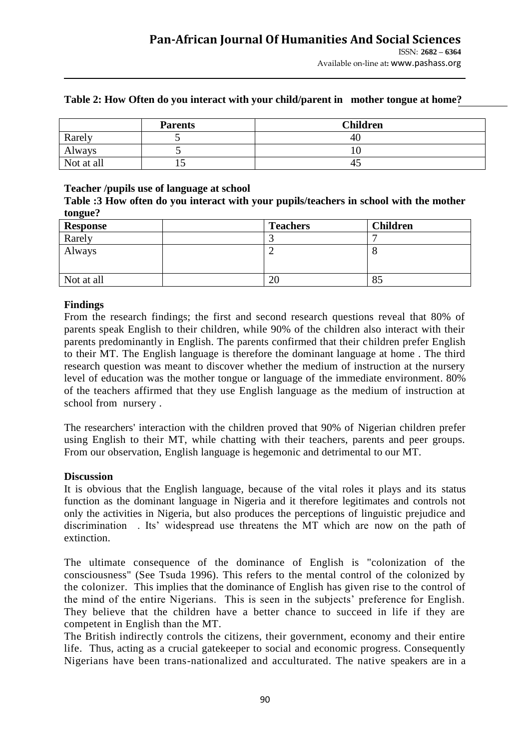|            | <b>Parents</b> | <b>Children</b> |
|------------|----------------|-----------------|
| Rarely     |                | 40              |
| Always     |                | ΙU              |
| Not at all | ⊥J             | 43              |

#### **Table 2: How Often do you interact with your child/parent in mother tongue at home?**

#### **Teacher /pupils use of language at school**

**Table :3 How often do you interact with your pupils/teachers in school with the mother tongue?**

| <b>Response</b> | <b>Teachers</b> | <b>Children</b> |
|-----------------|-----------------|-----------------|
| Rarely          |                 |                 |
| Always          | ∸               |                 |
| Not at all      | 20              | 85              |

#### **Findings**

From the research findings; the first and second research questions reveal that 80% of parents speak English to their children, while 90% of the children also interact with their parents predominantly in English. The parents confirmed that their children prefer English to their MT. The English language is therefore the dominant language at home . The third research question was meant to discover whether the medium of instruction at the nursery level of education was the mother tongue or language of the immediate environment. 80% of the teachers affirmed that they use English language as the medium of instruction at school from nursery .

The researchers' interaction with the children proved that 90% of Nigerian children prefer using English to their MT, while chatting with their teachers, parents and peer groups. From our observation, English language is hegemonic and detrimental to our MT.

#### **Discussion**

It is obvious that the English language, because of the vital roles it plays and its status function as the dominant language in Nigeria and it therefore legitimates and controls not only the activities in Nigeria, but also produces the perceptions of linguistic prejudice and discrimination . Its' widespread use threatens the MT which are now on the path of extinction.

The ultimate consequence of the dominance of English is "colonization of the consciousness" (See Tsuda 1996). This refers to the mental control of the colonized by the colonizer. This implies that the dominance of English has given rise to the control of the mind of the entire Nigerians. This is seen in the subjects" preference for English. They believe that the children have a better chance to succeed in life if they are competent in English than the MT.

The British indirectly controls the citizens, their government, economy and their entire life. Thus, acting as a crucial gatekeeper to social and economic progress. Consequently Nigerians have been trans-nationalized and acculturated. The native speakers are in a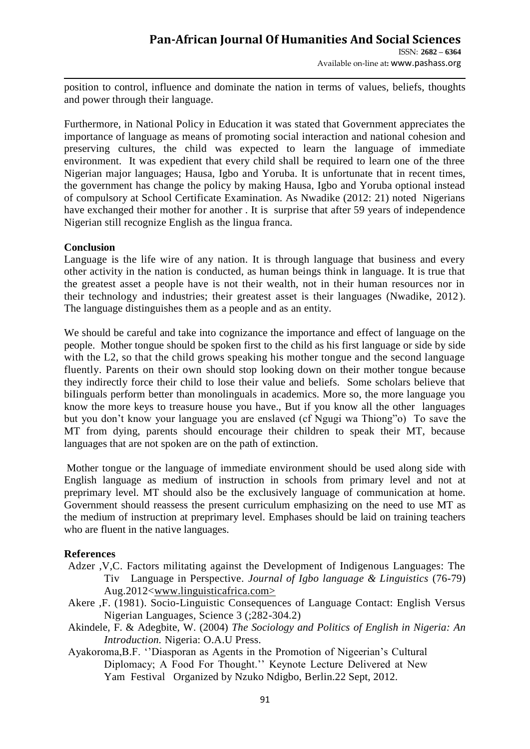Available on-line at**:** www.pashass.org

position to control, influence and dominate the nation in terms of values, beliefs, thoughts and power through their language.

Furthermore, in National Policy in Education it was stated that Government appreciates the importance of language as means of promoting social interaction and national cohesion and preserving cultures, the child was expected to learn the language of immediate environment. It was expedient that every child shall be required to learn one of the three Nigerian major languages; Hausa, Igbo and Yoruba. It is unfortunate that in recent times, the government has change the policy by making Hausa, Igbo and Yoruba optional instead of compulsory at School Certificate Examination. As Nwadike (2012: 21) noted Nigerians have exchanged their mother for another. It is surprise that after 59 years of independence Nigerian still recognize English as the lingua franca.

#### **Conclusion**

Language is the life wire of any nation. It is through language that business and every other activity in the nation is conducted, as human beings think in language. It is true that the greatest asset a people have is not their wealth, not in their human resources nor in their technology and industries; their greatest asset is their languages (Nwadike, 2012). The language distinguishes them as a people and as an entity.

We should be careful and take into cognizance the importance and effect of language on the people. Mother tongue should be spoken first to the child as his first language or side by side with the L2, so that the child grows speaking his mother tongue and the second language fluently. Parents on their own should stop looking down on their mother tongue because they indirectly force their child to lose their value and beliefs. Some scholars believe that bilinguals perform better than monolinguals in academics. More so, the more language you know the more keys to treasure house you have., But if you know all the other languages but you don"t know your language you are enslaved (cf Ngugi wa Thiong"o) To save the MT from dying, parents should encourage their children to speak their MT, because languages that are not spoken are on the path of extinction.

Mother tongue or the language of immediate environment should be used along side with English language as medium of instruction in schools from primary level and not at preprimary level. MT should also be the exclusively language of communication at home. Government should reassess the present curriculum emphasizing on the need to use MT as the medium of instruction at preprimary level. Emphases should be laid on training teachers who are fluent in the native languages.

## **References**

- Adzer ,V,C. Factors militating against the Development of Indigenous Languages: The Tiv Language in Perspective. *Journal of Igbo language & Linguistics* (76-79) Aug.2012<www.linguisticafrica.com>
- Akere ,F. (1981). Socio-Linguistic Consequences of Language Contact: English Versus Nigerian Languages, Science 3 (;282-304.2)
- Akindele, F. & Adegbite, W. (2004) *The Sociology and Politics of English in Nigeria: An Introduction.* Nigeria: O.A.U Press.
- Ayakoroma, B.F. "Diasporan as Agents in the Promotion of Nigeerian's Cultural Diplomacy; A Food For Thought."" Keynote Lecture Delivered at New Yam Festival Organized by Nzuko Ndigbo, Berlin.22 Sept, 2012.